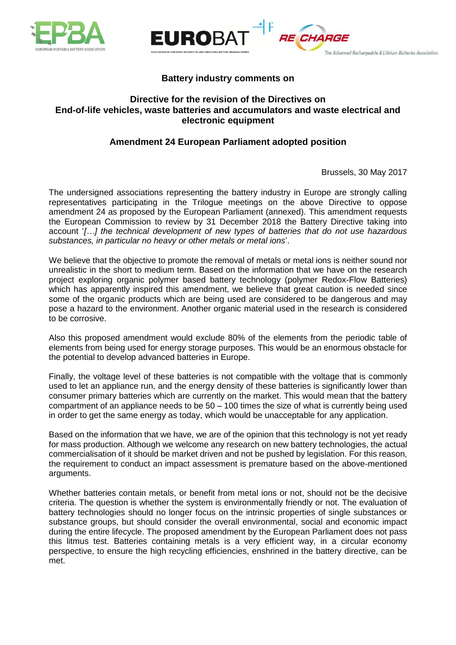



# **Battery industry comments on**

# **Directive for the revision of the Directives on End-of-life vehicles, waste batteries and accumulators and waste electrical and electronic equipment**

# **Amendment 24 European Parliament adopted position**

Brussels, 30 May 2017

The Advanced Rechargeable & Lithium Batteries Association

The undersigned associations representing the battery industry in Europe are strongly calling representatives participating in the Trilogue meetings on the above Directive to oppose amendment 24 as proposed by the European Parliament (annexed). This amendment requests the European Commission to review by 31 December 2018 the Battery Directive taking into account '*[…] the technical development of new types of batteries that do not use hazardous substances, in particular no heavy or other metals or metal ions*'.

We believe that the objective to promote the removal of metals or metal ions is neither sound nor unrealistic in the short to medium term. Based on the information that we have on the research project exploring organic polymer based battery technology (polymer Redox-Flow Batteries) which has apparently inspired this amendment, we believe that great caution is needed since some of the organic products which are being used are considered to be dangerous and may pose a hazard to the environment. Another organic material used in the research is considered to be corrosive.

Also this proposed amendment would exclude 80% of the elements from the periodic table of elements from being used for energy storage purposes. This would be an enormous obstacle for the potential to develop advanced batteries in Europe.

Finally, the voltage level of these batteries is not compatible with the voltage that is commonly used to let an appliance run, and the energy density of these batteries is significantly lower than consumer primary batteries which are currently on the market. This would mean that the battery compartment of an appliance needs to be 50 – 100 times the size of what is currently being used in order to get the same energy as today, which would be unacceptable for any application.

Based on the information that we have, we are of the opinion that this technology is not yet ready for mass production. Although we welcome any research on new battery technologies, the actual commercialisation of it should be market driven and not be pushed by legislation. For this reason, the requirement to conduct an impact assessment is premature based on the above-mentioned arguments.

Whether batteries contain metals, or benefit from metal ions or not, should not be the decisive criteria. The question is whether the system is environmentally friendly or not. The evaluation of battery technologies should no longer focus on the intrinsic properties of single substances or substance groups, but should consider the overall environmental, social and economic impact during the entire lifecycle. The proposed amendment by the European Parliament does not pass this litmus test. Batteries containing metals is a very efficient way, in a circular economy perspective, to ensure the high recycling efficiencies, enshrined in the battery directive, can be met.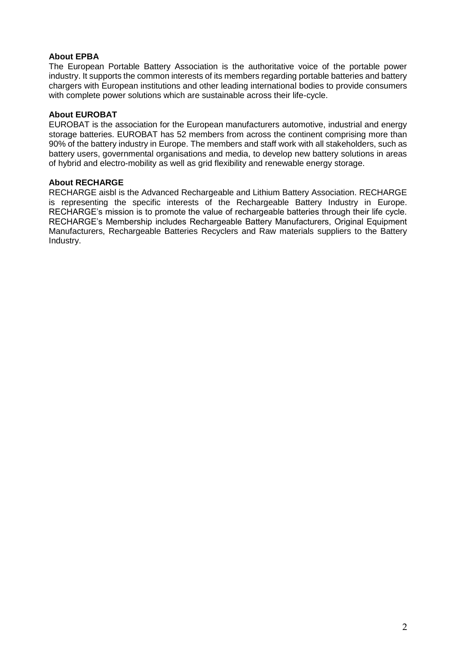# **About EPBA**

The European Portable Battery Association is the authoritative voice of the portable power industry. It supports the common interests of its members regarding portable batteries and battery chargers with European institutions and other leading international bodies to provide consumers with complete power solutions which are sustainable across their life-cycle.

### **About EUROBAT**

EUROBAT is the association for the European manufacturers automotive, industrial and energy storage batteries. EUROBAT has 52 members from across the continent comprising more than 90% of the battery industry in Europe. The members and staff work with all stakeholders, such as battery users, governmental organisations and media, to develop new battery solutions in areas of hybrid and electro-mobility as well as grid flexibility and renewable energy storage.

### **About RECHARGE**

RECHARGE aisbl is the Advanced Rechargeable and Lithium Battery Association. RECHARGE is representing the specific interests of the Rechargeable Battery Industry in Europe. RECHARGE's mission is to promote the value of rechargeable batteries through their life cycle. RECHARGE's Membership includes Rechargeable Battery Manufacturers, Original Equipment Manufacturers, Rechargeable Batteries Recyclers and Raw materials suppliers to the Battery Industry.